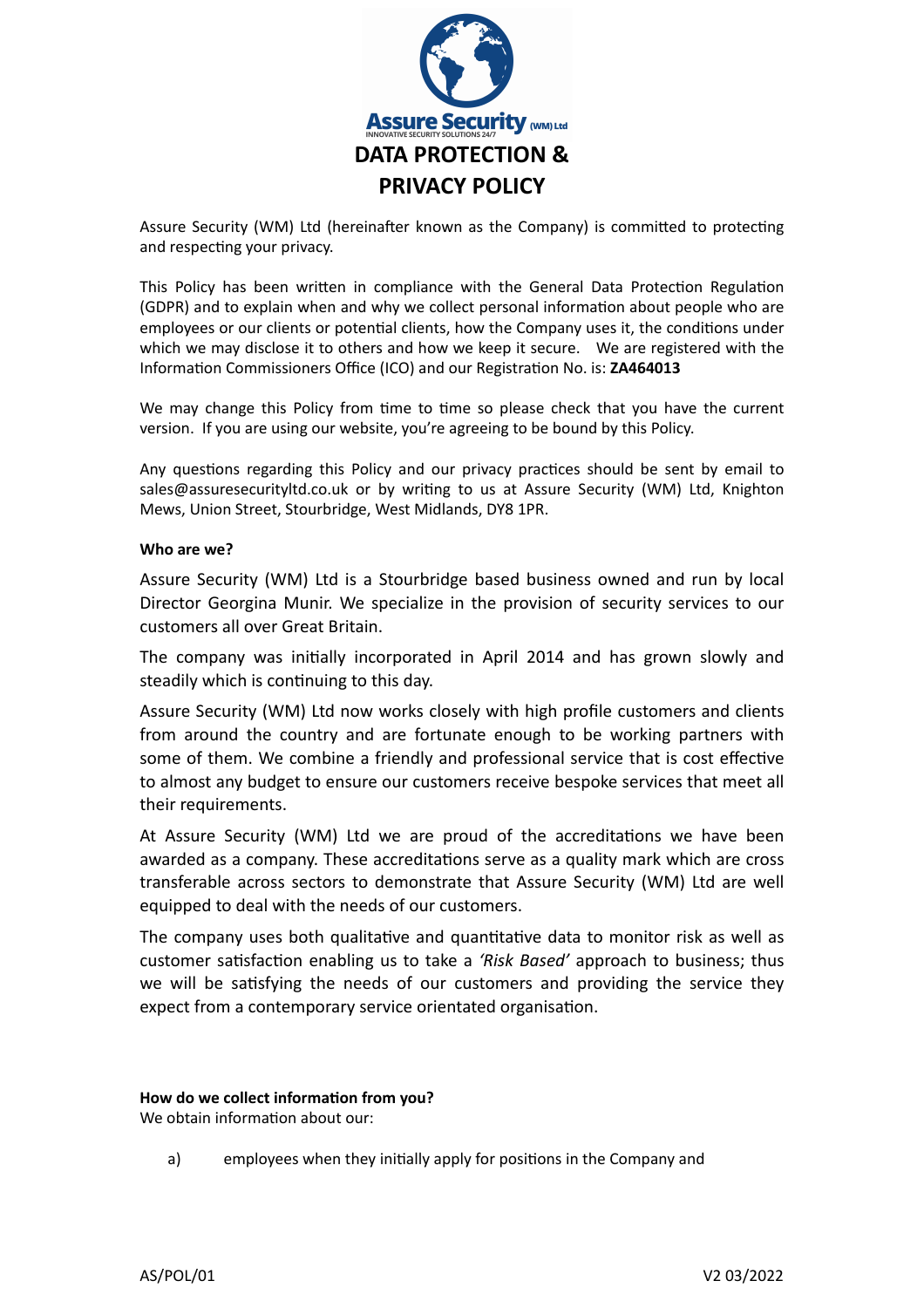

Assure Security (WM) Ltd (hereinafter known as the Company) is committed to protecting and respecting your privacy.

This Policy has been written in compliance with the General Data Protection Regulation (GDPR) and to explain when and why we collect personal information about people who are employees or our clients or potential clients, how the Company uses it, the conditions under which we may disclose it to others and how we keep it secure. We are registered with the Information Commissioners Office (ICO) and our Registration No. is: **ZA464013**

We may change this Policy from time to time so please check that you have the current version. If you are using our website, you're agreeing to be bound by this Policy.

Any questions regarding this Policy and our privacy practices should be sent by email to sales@assuresecurityltd.co.uk or by writing to us at Assure Security (WM) Ltd, Knighton Mews, Union Street, Stourbridge, West Midlands, DY8 1PR.

## **Who are we?**

Assure Security (WM) Ltd is a Stourbridge based business owned and run by local Director Georgina Munir. We specialize in the provision of security services to our customers all over Great Britain.

The company was initially incorporated in April 2014 and has grown slowly and steadily which is continuing to this day.

Assure Security (WM) Ltd now works closely with high profile customers and clients from around the country and are fortunate enough to be working partners with some of them. We combine a friendly and professional service that is cost effective to almost any budget to ensure our customers receive bespoke services that meet all their requirements.

At Assure Security (WM) Ltd we are proud of the accreditations we have been awarded as a company. These accreditations serve as a quality mark which are cross transferable across sectors to demonstrate that Assure Security (WM) Ltd are well equipped to deal with the needs of our customers.

The company uses both qualitative and quantitative data to monitor risk as well as customer satisfaction enabling us to take a *'Risk Based'* approach to business; thus we will be satisfying the needs of our customers and providing the service they expect from a contemporary service orientated organisation.

#### **How do we collect information from you?**

We obtain information about our:

a) employees when they initially apply for positions in the Company and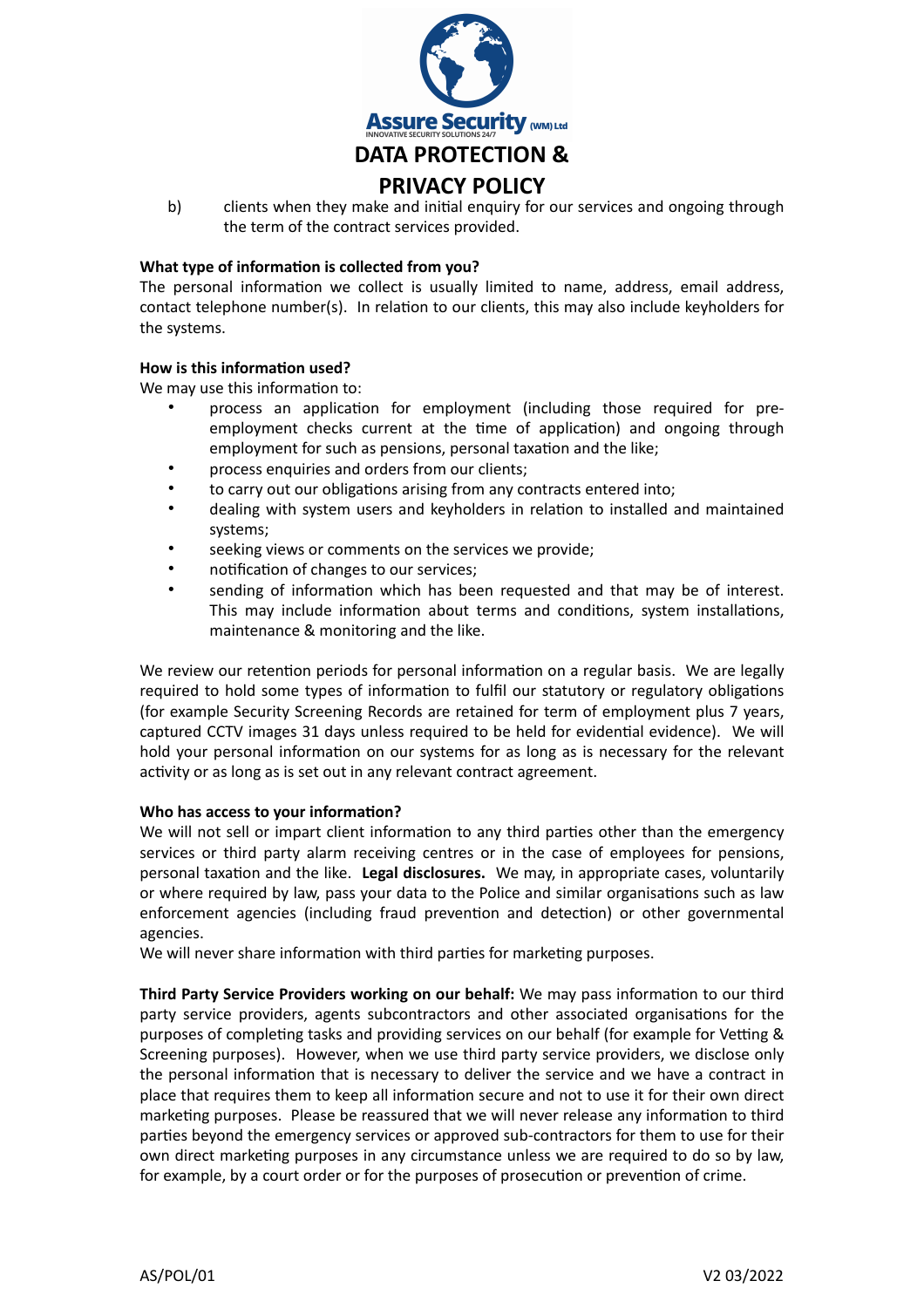

b) clients when they make and initial enquiry for our services and ongoing through the term of the contract services provided.

# **What type of information is collected from you?**

The personal information we collect is usually limited to name, address, email address, contact telephone number(s). In relation to our clients, this may also include keyholders for the systems.

# **How is this information used?**

We may use this information to:

- process an application for employment (including those required for preemployment checks current at the time of application) and ongoing through employment for such as pensions, personal taxation and the like;
- process enquiries and orders from our clients:
- to carry out our obligations arising from any contracts entered into;
- dealing with system users and keyholders in relation to installed and maintained systems;
- seeking views or comments on the services we provide;
- notification of changes to our services;
- sending of information which has been requested and that may be of interest. This may include information about terms and conditions, system installations, maintenance & monitoring and the like.

We review our retention periods for personal information on a regular basis. We are legally required to hold some types of information to fulfil our statutory or regulatory obligations (for example Security Screening Records are retained for term of employment plus 7 years, captured CCTV images 31 days unless required to be held for evidential evidence). We will hold your personal information on our systems for as long as is necessary for the relevant activity or as long as is set out in any relevant contract agreement.

#### **Who has access to your information?**

We will not sell or impart client information to any third parties other than the emergency services or third party alarm receiving centres or in the case of employees for pensions, personal taxation and the like. **Legal disclosures.** We may, in appropriate cases, voluntarily or where required by law, pass your data to the Police and similar organisations such as law enforcement agencies (including fraud prevention and detection) or other governmental agencies.

We will never share information with third parties for marketing purposes.

**Third Party Service Providers working on our behalf:** We may pass information to our third party service providers, agents subcontractors and other associated organisations for the purposes of completing tasks and providing services on our behalf (for example for Vetting & Screening purposes). However, when we use third party service providers, we disclose only the personal information that is necessary to deliver the service and we have a contract in place that requires them to keep all information secure and not to use it for their own direct marketing purposes. Please be reassured that we will never release any information to third parties beyond the emergency services or approved sub-contractors for them to use for their own direct marketing purposes in any circumstance unless we are required to do so by law, for example, by a court order or for the purposes of prosecution or prevention of crime.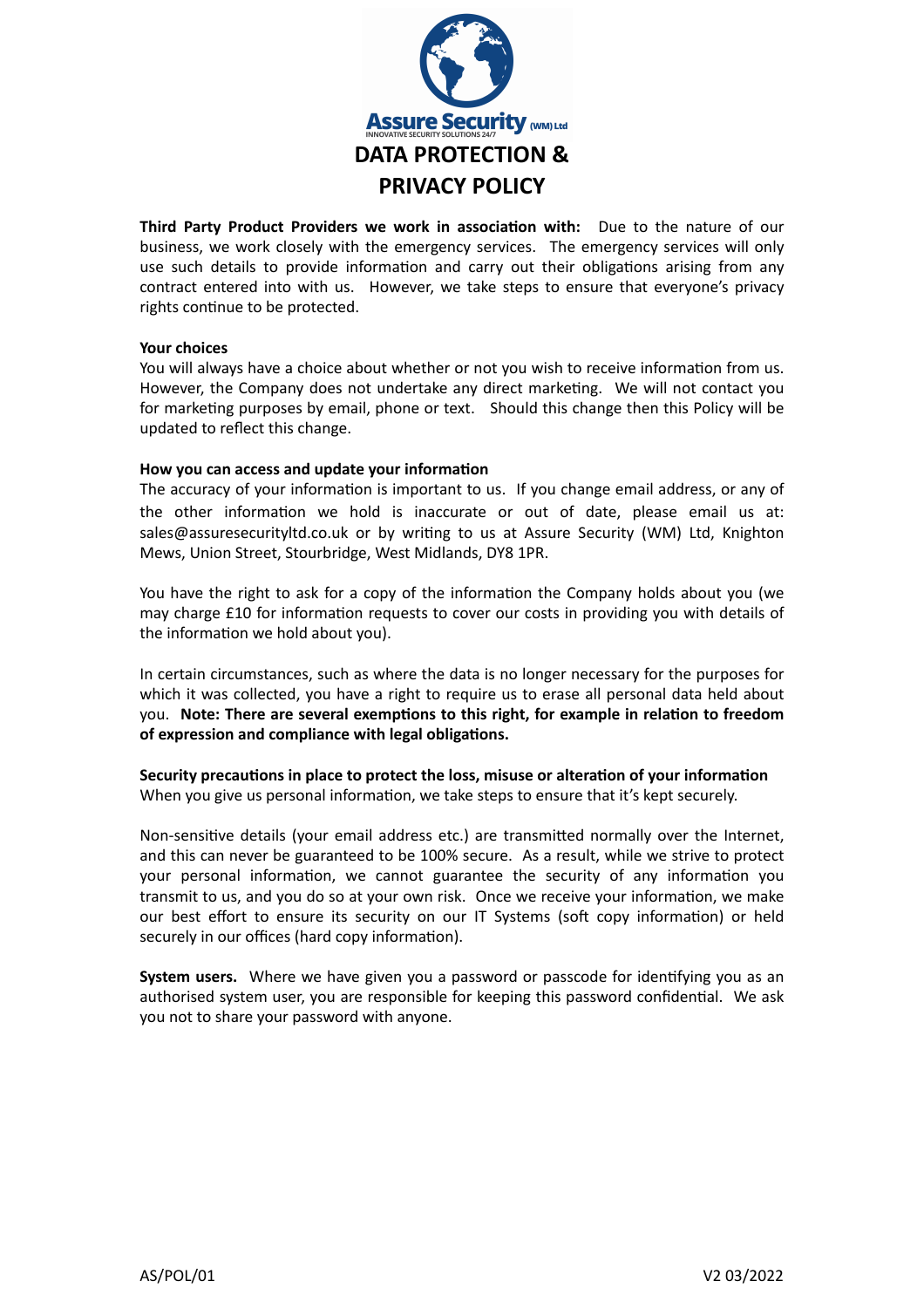

**Third Party Product Providers we work in association with:** Due to the nature of our business, we work closely with the emergency services. The emergency services will only use such details to provide information and carry out their obligations arising from any contract entered into with us. However, we take steps to ensure that everyone's privacy rights continue to be protected.

## **Your choices**

You will always have a choice about whether or not you wish to receive information from us. However, the Company does not undertake any direct marketing. We will not contact you for marketing purposes by email, phone or text. Should this change then this Policy will be updated to reflect this change.

## **How you can access and update your information**

The accuracy of your information is important to us. If you change email address, or any of the other information we hold is inaccurate or out of date, please email us at: sales@assuresecurityltd.co.uk or by writing to us at Assure Security (WM) Ltd, Knighton Mews, Union Street, Stourbridge, West Midlands, DY8 1PR.

You have the right to ask for a copy of the information the Company holds about you (we may charge £10 for information requests to cover our costs in providing you with details of the information we hold about you).

In certain circumstances, such as where the data is no longer necessary for the purposes for which it was collected, you have a right to require us to erase all personal data held about you. **Note: There are several exemptions to this right, for example in relation to freedom of expression and compliance with legal obligations.**

**Security precautions in place to protect the loss, misuse or alteration of your information** When you give us personal information, we take steps to ensure that it's kept securely.

Non-sensitive details (your email address etc.) are transmitted normally over the Internet, and this can never be guaranteed to be 100% secure. As a result, while we strive to protect your personal information, we cannot guarantee the security of any information you transmit to us, and you do so at your own risk. Once we receive your information, we make our best effort to ensure its security on our IT Systems (soft copy information) or held securely in our offices (hard copy information).

**System users.** Where we have given you a password or passcode for identifying you as an authorised system user, you are responsible for keeping this password confidential. We ask you not to share your password with anyone.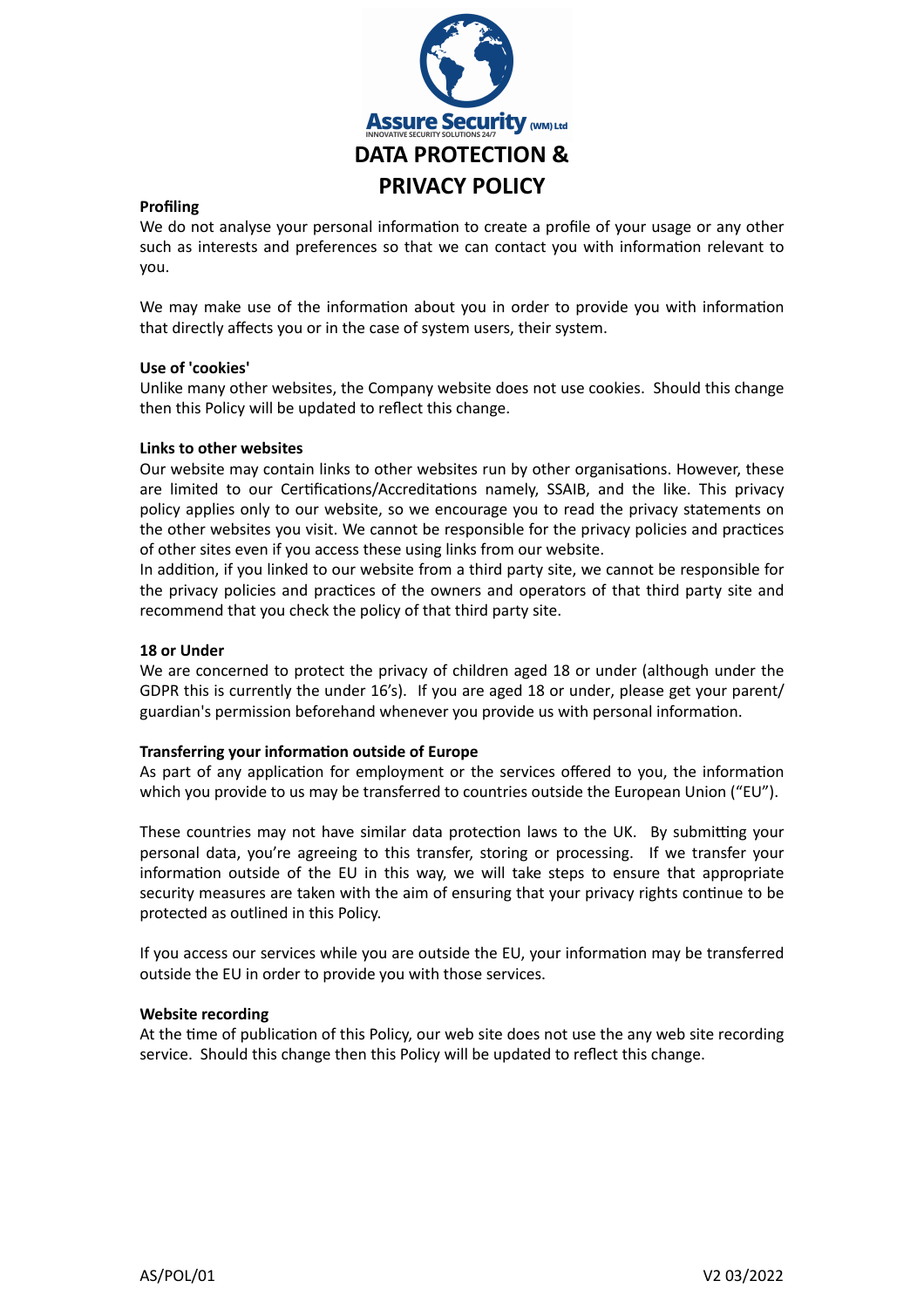

## **Profiling**

We do not analyse your personal information to create a profile of your usage or any other such as interests and preferences so that we can contact you with information relevant to you.

We may make use of the information about you in order to provide you with information that directly affects you or in the case of system users, their system.

## **Use of 'cookies'**

Unlike many other websites, the Company website does not use cookies. Should this change then this Policy will be updated to reflect this change.

## **Links to other websites**

Our website may contain links to other websites run by other organisations. However, these are limited to our Certifications/Accreditations namely, SSAIB, and the like. This privacy policy applies only to our website, so we encourage you to read the privacy statements on the other websites you visit. We cannot be responsible for the privacy policies and practices of other sites even if you access these using links from our website.

In addition, if you linked to our website from a third party site, we cannot be responsible for the privacy policies and practices of the owners and operators of that third party site and recommend that you check the policy of that third party site.

#### **18 or Under**

We are concerned to protect the privacy of children aged 18 or under (although under the GDPR this is currently the under 16's). If you are aged 18 or under, please get your parent/ guardian's permission beforehand whenever you provide us with personal information.

#### **Transferring your information outside of Europe**

As part of any application for employment or the services offered to you, the information which you provide to us may be transferred to countries outside the European Union ("EU").

These countries may not have similar data protection laws to the UK. By submitting your personal data, you're agreeing to this transfer, storing or processing. If we transfer your information outside of the EU in this way, we will take steps to ensure that appropriate security measures are taken with the aim of ensuring that your privacy rights continue to be protected as outlined in this Policy.

If you access our services while you are outside the EU, your information may be transferred outside the EU in order to provide you with those services.

#### **Website recording**

At the time of publication of this Policy, our web site does not use the any web site recording service. Should this change then this Policy will be updated to reflect this change.